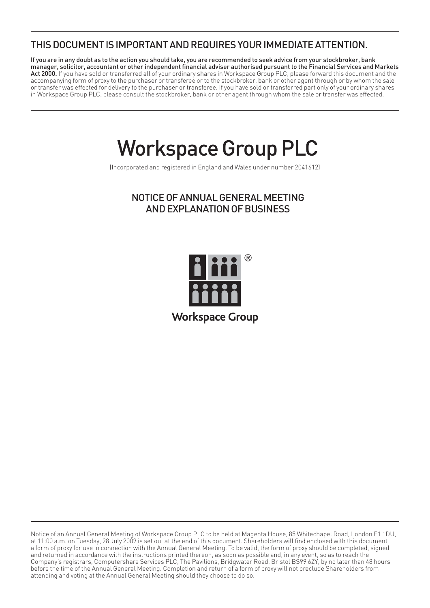# THIS DOCUMENT IS IMPORTANT AND REQUIRES YOUR IMMEDIATE ATTENTION.

If you are in any doubt as to the action you should take, you are recommended to seek advice from your stockbroker, bank manager, solicitor, accountant or other independent financial adviser authorised pursuant to the Financial Services and Markets Act 2000. If you have sold or transferred all of your ordinary shares in Workspace Group PLC, please forward this document and the accompanying form of proxy to the purchaser or transferee or to the stockbroker, bank or other agent through or by whom the sale or transfer was effected for delivery to the purchaser or transferee. If you have sold or transferred part only of your ordinary shares in Workspace Group PLC, please consult the stockbroker, bank or other agent through whom the sale or transfer was effected.

# Workspace Group PLC

(Incorporated and registered in England and Wales under number 2041612)

## NOTICE OF ANNUAL GENERAL MEETING AND EXPLANATION OF BUSINESS



Notice of an Annual General Meeting of Workspace Group PLC to be held at Magenta House, 85 Whitechapel Road, London E1 1DU, at 11:00 a.m. on Tuesday, 28 July 2009 is set out at the end of this document. Shareholders will find enclosed with this document a form of proxy for use in connection with the Annual General Meeting. To be valid, the form of proxy should be completed, signed and returned in accordance with the instructions printed thereon, as soon as possible and, in any event, so as to reach the Company's registrars, Computershare Services PLC, The Pavilions, Bridgwater Road, Bristol BS99 6ZY, by no later than 48 hours before the time of the Annual General Meeting. Completion and return of a form of proxy will not preclude Shareholders from attending and voting at the Annual General Meeting should they choose to do so.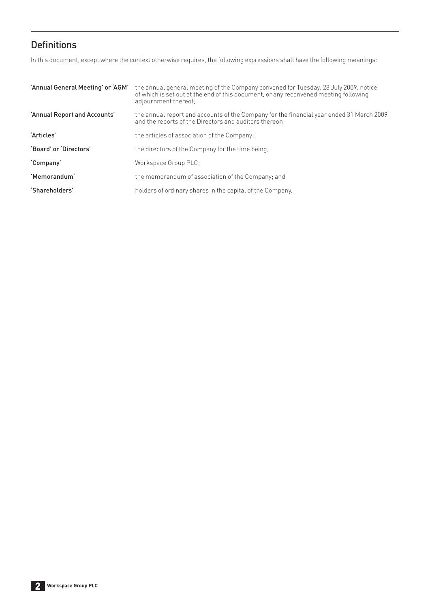# **Definitions**

In this document, except where the context otherwise requires, the following expressions shall have the following meanings:

| 'Annual General Meeting' or 'AGM' | the annual general meeting of the Company convened for Tuesday, 28 July 2009, notice<br>of which is set out at the end of this document, or any reconvened meeting following<br>adjournment thereof: |
|-----------------------------------|------------------------------------------------------------------------------------------------------------------------------------------------------------------------------------------------------|
| 'Annual Report and Accounts'      | the annual report and accounts of the Company for the financial year ended 31 March 2009<br>and the reports of the Directors and auditors thereon;                                                   |
| 'Articles'                        | the articles of association of the Company:                                                                                                                                                          |
| 'Board' or 'Directors'            | the directors of the Company for the time being:                                                                                                                                                     |
| 'Company'                         | Workspace Group PLC:                                                                                                                                                                                 |
| 'Memorandum'                      | the memorandum of association of the Company; and                                                                                                                                                    |
| 'Shareholders'                    | holders of ordinary shares in the capital of the Company.                                                                                                                                            |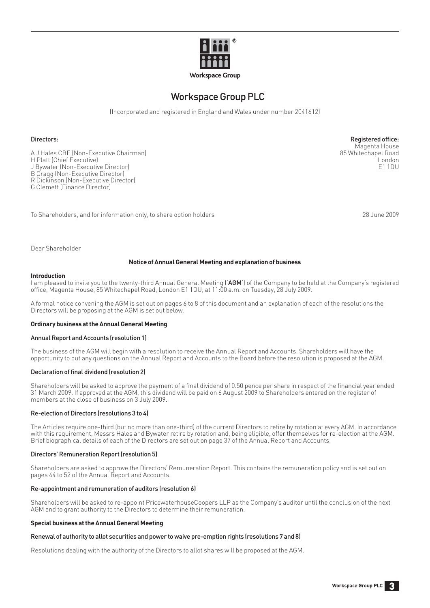

## Workspace Group PLC

(Incorporated and registered in England and Wales under number 2041612)

#### Directors: Registered office: Registered office:

A J Hales CBE (Non-Executive Chairman) 85 Whitechapel Road H Platt (Chief Executive) London J Bywater (Non-Executive Director) B Cragg (Non-Executive Director) R Dickinson (Non-Executive Director) G Clemett (Finance Director)

To Shareholders, and for information only, to share option holders 28 June 2009

Magenta House<br>85 Whitechapel Road

Dear Shareholder

#### **Notice of Annual General Meeting and explanation of business**

#### **Introduction**

I am pleased to invite you to the twenty-third Annual General Meeting ('AGM') of the Company to be held at the Company's registered offi ce, Magenta House, 85 Whitechapel Road, London E1 1DU, at 11:00 a.m. on Tuesday, 28 July 2009.

A formal notice convening the AGM is set out on pages 6 to 8 of this document and an explanation of each of the resolutions the Directors will be proposing at the AGM is set out below.

#### **Ordinary business at the Annual General Meeting**

#### Annual Report and Accounts (resolution 1)

The business of the AGM will begin with a resolution to receive the Annual Report and Accounts. Shareholders will have the opportunity to put any questions on the Annual Report and Accounts to the Board before the resolution is proposed at the AGM.

#### Declaration of final dividend (resolution 2)

Shareholders will be asked to approve the payment of a final dividend of 0.50 pence per share in respect of the financial year ended 31 March 2009. If approved at the AGM, this dividend will be paid on 6 August 2009 to Shareholders entered on the register of members at the close of business on 3 July 2009.

#### Re-election of Directors (resolutions 3 to 4)

The Articles require one-third (but no more than one-third) of the current Directors to retire by rotation at every AGM. In accordance with this requirement, Messrs Hales and Bywater retire by rotation and, being eligible, offer themselves for re-election at the AGM. Brief biographical details of each of the Directors are set out on page 37 of the Annual Report and Accounts.

#### Directors' Remuneration Report (resolution 5)

Shareholders are asked to approve the Directors' Remuneration Report. This contains the remuneration policy and is set out on pages 44 to 52 of the Annual Report and Accounts.

#### Re-appointment and remuneration of auditors (resolution 6)

Shareholders will be asked to re-appoint PricewaterhouseCoopers LLP as the Company's auditor until the conclusion of the next AGM and to grant authority to the Directors to determine their remuneration.

#### **Special business at the Annual General Meeting**

#### Renewal of authority to allot securities and power to waive pre-emption rights (resolutions 7 and 8)

Resolutions dealing with the authority of the Directors to allot shares will be proposed at the AGM.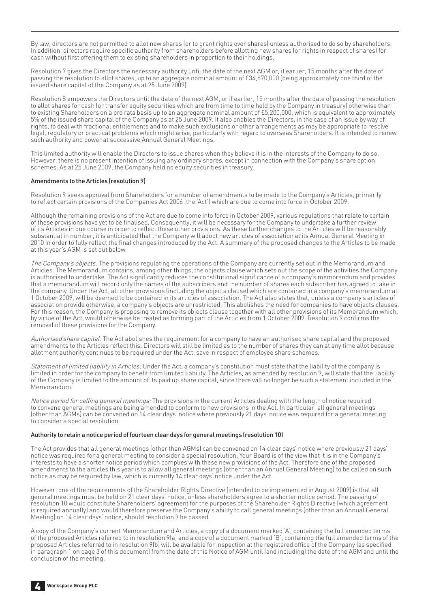By law, directors are not permitted to allot new shares (or to grant rights over shares) unless authorised to do so by shareholders. In addition, directors require specific authority from shareholders before allotting new shares (or rights in respect of shares) for cash without first offering them to existing shareholders in proportion to their holdings.

Resolution 7 gives the Directors the necessary authority until the date of the next AGM or, if earlier, 15 months after the date of passing the resolution to allot shares, up to an aggregate nominal amount of £34,870,000 (being approximately one third of the issued share capital of the Company as at 25 June 2009).

Resolution 8 empowers the Directors until the date of the next AGM, or if earlier, 15 months after the date of passing the resolution to allot shares for cash (or transfer equity securities which are from time to time held by the Company in treasury) otherwise than to existing Shareholders on a pro rata basis up to an aggregate nominal amount of £5,200,000, which is equivalent to approximately 5% of the issued share capital of the Company as at 25 June 2009. It also enables the Directors, in the case of an issue by way of rights, to deal with fractional entitlements and to make such exclusions or other arrangements as may be appropriate to resolve legal, regulatory or practical problems which might arise, particularly with regard to overseas Shareholders. It is intended to renew such authority and power at successive Annual General Meetings.

This limited authority will enable the Directors to issue shares when they believe it is in the interests of the Company to do so. However, there is no present intention of issuing any ordinary shares, except in connection with the Company's share option schemes. As at 25 June 2009, the Company held no equity securities in treasury.

#### Amendments to the Articles (resolution 9)

Resolution 9 seeks approval from Shareholders for a number of amendments to be made to the Company's Articles, primarily to reflect certain provisions of the Companies Act 2006 (the 'Act') which are due to come into force in October 2009.

Although the remaining provisions of the Act are due to come into force in October 2009, various regulations that relate to certain of these provisions have yet to be finalised. Consequently, it will be necessary for the Company to undertake a further review of its Articles in due course in order to reflect these other provisions. As these further changes to the Articles will be reasonably substantial in number, it is anticipated that the Company will adopt new articles of association at its Annual General Meeting in 2010 in order to fully reflect the final changes introduced by the Act. A summary of the proposed changes to the Articles to be made at this year's AGM is set out below.

The Company's objects: The provisions regulating the operations of the Company are currently set out in the Memorandum and Articles. The Memorandum contains, among other things, the objects clause which sets out the scope of the activities the Company is authorised to undertake. The Act significantly reduces the constitutional significance of a company's memorandum and provides that a memorandum will record only the names of the subscribers and the number of shares each subscriber has agreed to take in the company. Under the Act, all other provisions (including the objects clause) which are contained in a company's memorandum at 1 October 2009, will be deemed to be contained in its articles of association. The Act also states that, unless a company's articles of association provide otherwise, a company's objects are unrestricted. This abolishes the need for companies to have objects clauses. For this reason, the Company is proposing to remove its objects clause together with all other provisions of its Memorandum which, by virtue of the Act, would otherwise be treated as forming part of the Articles from 1 October 2009. Resolution 9 confirms the removal of these provisions for the Company.

Authorised share capital: The Act abolishes the requirement for a company to have an authorised share capital and the proposed amendments to the Articles reflect this. Directors will still be limited as to the number of shares they can at any time allot because allotment authority continues to be required under the Act, save in respect of employee share schemes.

Statement of limited liability in Articles: Under the Act, a company's constitution must state that the liability of the company is limited in order for the company to benefit from limited liability. The Articles, as amended by resolution 9, will state that the liability of the Company is limited to the amount of its paid up share capital, since there will no longer be such a statement included in the Memorandum.

Notice period for calling general meetings: The provisions in the current Articles dealing with the length of notice required to convene general meetings are being amended to conform to new provisions in the Act. In particular, all general meetings (other than AGMs) can be convened on 14 clear days' notice where previously 21 days' notice was required for a general meeting to consider a special resolution.

#### Authority to retain a notice period of fourteen clear days for general meetings (resolution 10)

The Act provides that all general meetings (other than AGMs) can be convened on 14 clear days' notice where previously 21 days' notice was required for a general meeting to consider a special resolution. Your Board is of the view that it is in the Company's interests to have a shorter notice period which complies with these new provisions of the Act. Therefore one of the proposed amendments to the articles this year is to allow all general meetings (other than an Annual General Meeting) to be called on such notice as may be required by law, which is currently 14 clear days' notice under the Act.

However, one of the requirements of the Shareholder Rights Directive (intended to be implemented in August 2009) is that all general meetings must be held on 21 clear days' notice, unless shareholders agree to a shorter notice period. The passing of resolution 10 would constitute Shareholders' agreement for the purposes of the Shareholder Rights Directive (which agreement is required annually) and would therefore preserve the Company's ability to call general meetings (other than an Annual General Meeting) on 14 clear days' notice, should resolution 9 be passed.

A copy of the Company's current Memorandum and Articles, a copy of a document marked 'A', containing the full amended terms of the proposed Articles referred to in resolution 9(a) and a copy of a document marked 'B', containing the full amended terms of the proposed Articles referred to in resolution 9(b) will be available for inspection at the registered office of the Company (as specified in paragraph 1 on page 3 of this document) from the date of this Notice of AGM until (and including) the date of the AGM and until the conclusion of the meeting.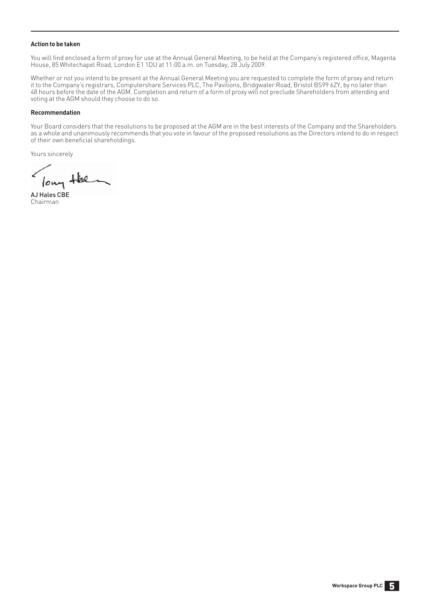#### **Action to be taken**

You will find enclosed a form of proxy for use at the Annual General Meeting, to be held at the Company's registered office, Magenta House, 85 Whitechapel Road, London E1 1DU at 11:00 a.m. on Tuesday, 28 July 2009.

Whether or not you intend to be present at the Annual General Meeting you are requested to complete the form of proxy and return it to the Company's registrars, Computershare Services PLC, The Pavilions, Bridgwater Road, Bristol BS99 6ZY, by no later than 48 hours before the date of the AGM. Completion and return of a form of proxy will not preclude Shareholders from attending and voting at the AGM should they choose to do so.

#### **Recommendation**

Your Board considers that the resolutions to be proposed at the AGM are in the best interests of the Company and the Shareholders as a whole and unanimously recommends that you vote in favour of the proposed resolutions as the Directors intend to do in respect of their own beneficial shareholdings.

Yours sincerely

long Hel

AJ Hales CBE Chairman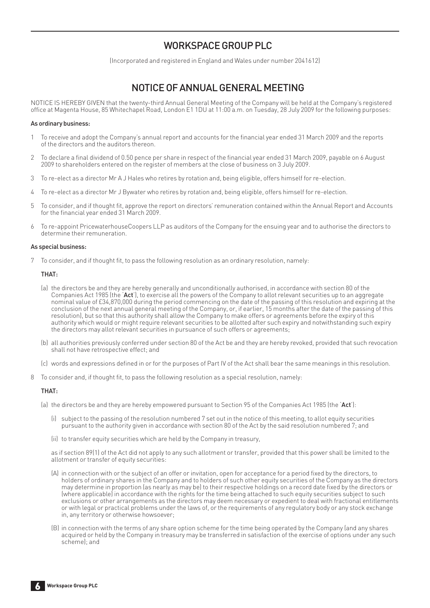## WORKSPACE GROUP PLC

(Incorporated and registered in England and Wales under number 2041612)

# NOTICE OF ANNUAL GENERAL MEETING

NOTICE IS HEREBY GIVEN that the twenty-third Annual General Meeting of the Company will be held at the Company's registered office at Magenta House, 85 Whitechapel Road, London E1 1DU at 11:00 a.m. on Tuesday, 28 July 2009 for the following purposes:

#### As ordinary business:

- 1 To receive and adopt the Company's annual report and accounts for the financial year ended 31 March 2009 and the reports of the directors and the auditors thereon.
- 2 To declare a final dividend of 0.50 pence per share in respect of the financial year ended 31 March 2009, payable on 6 August 2009 to shareholders entered on the register of members at the close of business on 3 July 2009.
- 3 To re-elect as a director Mr A J Hales who retires by rotation and, being eligible, offers himself for re-election.
- 4 To re-elect as a director Mr J Bywater who retires by rotation and, being eligible, offers himself for re-election.
- 5 To consider, and if thought fi t, approve the report on directors' remuneration contained within the Annual Report and Accounts for the financial year ended 31 March 2009.
- 6 To re-appoint PricewaterhouseCoopers LLP as auditors of the Company for the ensuing year and to authorise the directors to determine their remuneration.

#### As special business:

7 To consider, and if thought fit, to pass the following resolution as an ordinary resolution, namely:

#### THAT:

- (a) the directors be and they are hereby generally and unconditionally authorised, in accordance with section 80 of the Companies Act 1985 (the 'Act'), to exercise all the powers of the Company to allot relevant securities up to an aggregate nominal value of £34,870,000 during the period commencing on the date of the passing of this resolution and expiring at the conclusion of the next annual general meeting of the Company, or, if earlier, 15 months after the date of the passing of this resolution), but so that this authority shall allow the Company to make offers or agreements before the expiry of this authority which would or might require relevant securities to be allotted after such expiry and notwithstanding such expiry the directors may allot relevant securities in pursuance of such offers or agreements;
- (b) all authorities previously conferred under section 80 of the Act be and they are hereby revoked, provided that such revocation shall not have retrospective effect; and
- (c) words and expressions defined in or for the purposes of Part IV of the Act shall bear the same meanings in this resolution.
- 8 To consider and, if thought fit, to pass the following resolution as a special resolution, namely:

#### THAT:

(a) the directors be and they are hereby empowered pursuant to Section 95 of the Companies Act 1985 (the 'Act'):

- (i) subject to the passing of the resolution numbered 7 set out in the notice of this meeting, to allot equity securities pursuant to the authority given in accordance with section 80 of the Act by the said resolution numbered 7; and
- (ii) to transfer equity securities which are held by the Company in treasury,

 as if section 89(1) of the Act did not apply to any such allotment or transfer, provided that this power shall be limited to the allotment or transfer of equity securities:

- (A) in connection with or the subject of an offer or invitation, open for acceptance for a period fixed by the directors, to holders of ordinary shares in the Company and to holders of such other equity securities of the Company as the directors may determine in proportion (as nearly as may be) to their respective holdings on a record date fixed by the directors or (where applicable) in accordance with the rights for the time being attached to such equity securities subject to such exclusions or other arrangements as the directors may deem necessary or expedient to deal with fractional entitlements or with legal or practical problems under the laws of, or the requirements of any regulatory body or any stock exchange in, any territory or otherwise howsoever;
- (B) in connection with the terms of any share option scheme for the time being operated by the Company (and any shares acquired or held by the Company in treasury may be transferred in satisfaction of the exercise of options under any such scheme); and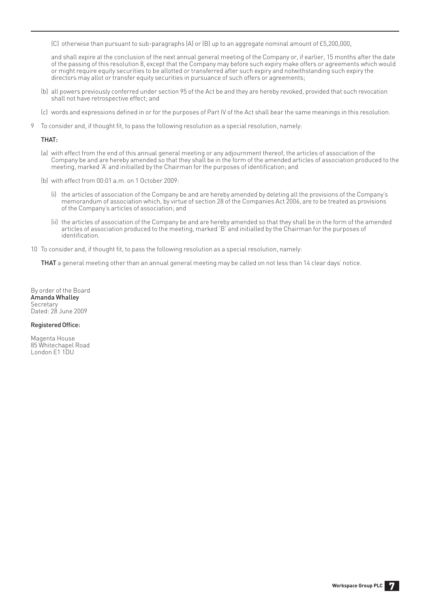(C) otherwise than pursuant to sub-paragraphs (A) or (B) up to an aggregate nominal amount of £5,200,000,

 and shall expire at the conclusion of the next annual general meeting of the Company or, if earlier, 15 months after the date of the passing of this resolution 8, except that the Company may before such expiry make offers or agreements which would or might require equity securities to be allotted or transferred after such expiry and notwithstanding such expiry the directors may allot or transfer equity securities in pursuance of such offers or agreements;

- (b) all powers previously conferred under section 95 of the Act be and they are hereby revoked, provided that such revocation shall not have retrospective effect; and
- (c) words and expressions defined in or for the purposes of Part IV of the Act shall bear the same meanings in this resolution.
- 9 To consider and, if thought fit, to pass the following resolution as a special resolution, namely:

#### THAT:

- (a) with effect from the end of this annual general meeting or any adjournment thereof, the articles of association of the Company be and are hereby amended so that they shall be in the form of the amended articles of association produced to the meeting, marked 'A' and initialled by the Chairman for the purposes of identification; and
- (b) with effect from 00:01 a.m. on 1 October 2009:
	- (i) the articles of association of the Company be and are hereby amended by deleting all the provisions of the Company's memorandum of association which, by virtue of section 28 of the Companies Act 2006, are to be treated as provisions of the Company's articles of association; and
	- (ii) the articles of association of the Company be and are hereby amended so that they shall be in the form of the amended articles of association produced to the meeting, marked 'B' and initialled by the Chairman for the purposes of identification
- 10 To consider and, if thought fit, to pass the following resolution as a special resolution, namely:

THAT a general meeting other than an annual general meeting may be called on not less than 14 clear days' notice.

By order of the Board Amanda Whalley **Secretary** Dated: 28 June 2009

#### Registered Office:

Magenta House 85 Whitechapel Road London E1 1DU